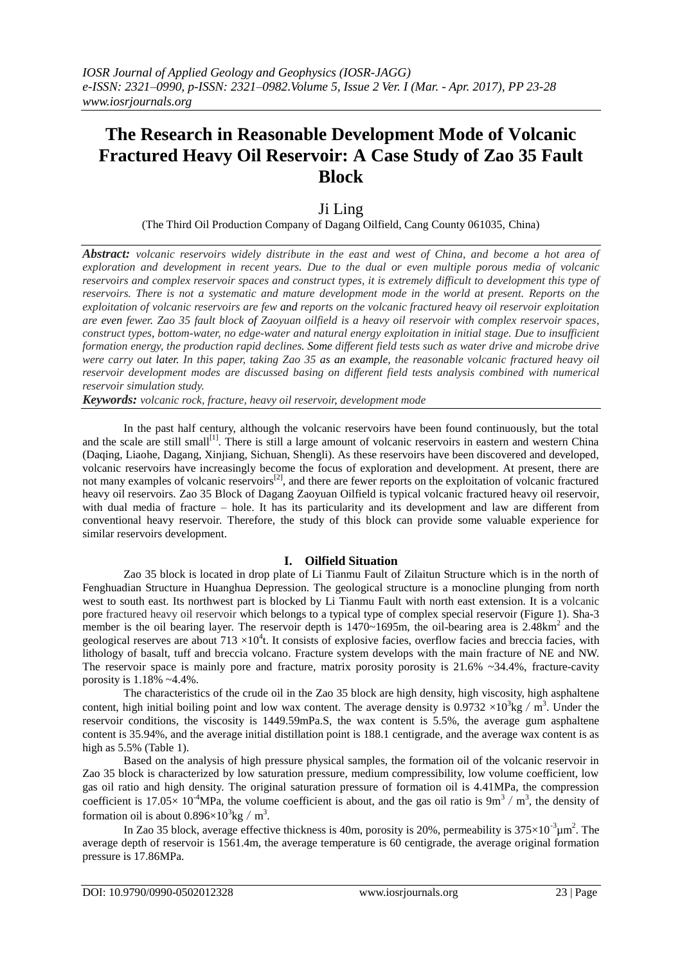# **The Research in Reasonable Development Mode of Volcanic Fractured Heavy Oil Reservoir: A Case Study of Zao 35 Fault Block**

## Ji Ling

(The Third Oil Production Company of Dagang Oilfield, Cang County 061035, China)

*Abstract: volcanic reservoirs widely distribute in the east and west of China, and become a hot area of exploration and development in recent years. Due to the dual or even multiple porous media of volcanic reservoirs and complex reservoir spaces and construct types, it is extremely difficult to development this type of reservoirs. There is not a systematic and mature development mode in the world at present. Reports on the exploitation of volcanic reservoirs are few and reports on the volcanic fractured heavy oil reservoir exploitation are even fewer. Zao 35 fault block of Zaoyuan oilfield is a heavy oil reservoir with complex reservoir spaces, construct types, bottom-water, no edge-water and natural energy exploitation in initial stage. Due to insufficient formation energy, the production rapid declines. Some different field tests such as water drive and microbe drive were carry out later. In this paper, taking Zao 35 as an example, the reasonable volcanic fractured heavy oil reservoir development modes are discussed basing on different field tests analysis combined with numerical reservoir simulation study.*

*Keywords: volcanic rock, fracture, heavy oil reservoir, development mode*

In the past half century, although the volcanic reservoirs have been found continuously, but the total and the scale are still small<sup>[1]</sup>. There is still a large amount of volcanic reservoirs in eastern and western China (Daqing, Liaohe, Dagang, Xinjiang, Sichuan, Shengli). As these reservoirs have been discovered and developed, volcanic reservoirs have increasingly become the focus of exploration and development. At present, there are not many examples of volcanic reservoirs<sup>[2]</sup>, and there are fewer reports on the exploitation of volcanic fractured heavy oil reservoirs. Zao 35 Block of Dagang Zaoyuan Oilfield is typical volcanic fractured heavy oil reservoir, with dual media of fracture – hole. It has its particularity and its development and law are different from conventional heavy reservoir. Therefore, the study of this block can provide some valuable experience for similar reservoirs development.

### **I. Oilfield Situation**

Zao 35 block is located in drop plate of Li Tianmu Fault of Zilaitun Structure which is in the north of Fenghuadian Structure in Huanghua Depression. The geological structure is a monocline plunging from north west to south east. Its northwest part is blocked by Li Tianmu Fault with north east extension. It is a volcanic pore fractured heavy oil reservoir which belongs to a typical type of complex special reservoir (Figure 1). Sha-3 member is the oil bearing layer. The reservoir depth is  $1470~1695$ m, the oil-bearing area is  $2.48$ km<sup>2</sup> and the geological reserves are about  $713 \times 10^4$ t. It consists of explosive facies, overflow facies and breccia facies, with lithology of basalt, tuff and breccia volcano. Fracture system develops with the main fracture of NE and NW. The reservoir space is mainly pore and fracture, matrix porosity porosity is  $21.6\%$  ~34.4%, fracture-cavity porosity is 1.18% ~4.4%.

The characteristics of the crude oil in the Zao 35 block are high density, high viscosity, high asphaltene content, high initial boiling point and low wax content. The average density is  $0.9732 \times 10^3$ kg / m<sup>3</sup>. Under the reservoir conditions, the viscosity is 1449.59mPa.S, the wax content is 5.5%, the average gum asphaltene content is 35.94%, and the average initial distillation point is 188.1 centigrade, and the average wax content is as high as  $5.5\%$  (Table 1).

Based on the analysis of high pressure physical samples, the formation oil of the volcanic reservoir in Zao 35 block is characterized by low saturation pressure, medium compressibility, low volume coefficient, low gas oil ratio and high density. The original saturation pressure of formation oil is 4.41MPa, the compression coefficient is 17.05 $\times$  10<sup>-4</sup>MPa, the volume coefficient is about, and the gas oil ratio is 9m<sup>3</sup>/m<sup>3</sup>, the density of formation oil is about  $0.896 \times 10^3$ kg / m<sup>3</sup>.

In Zao 35 block, average effective thickness is 40m, porosity is 20%, permeability is  $375 \times 10^{-3} \mu m^2$ . The average depth of reservoir is 1561.4m, the average temperature is 60 centigrade, the average original formation pressure is 17.86MPa.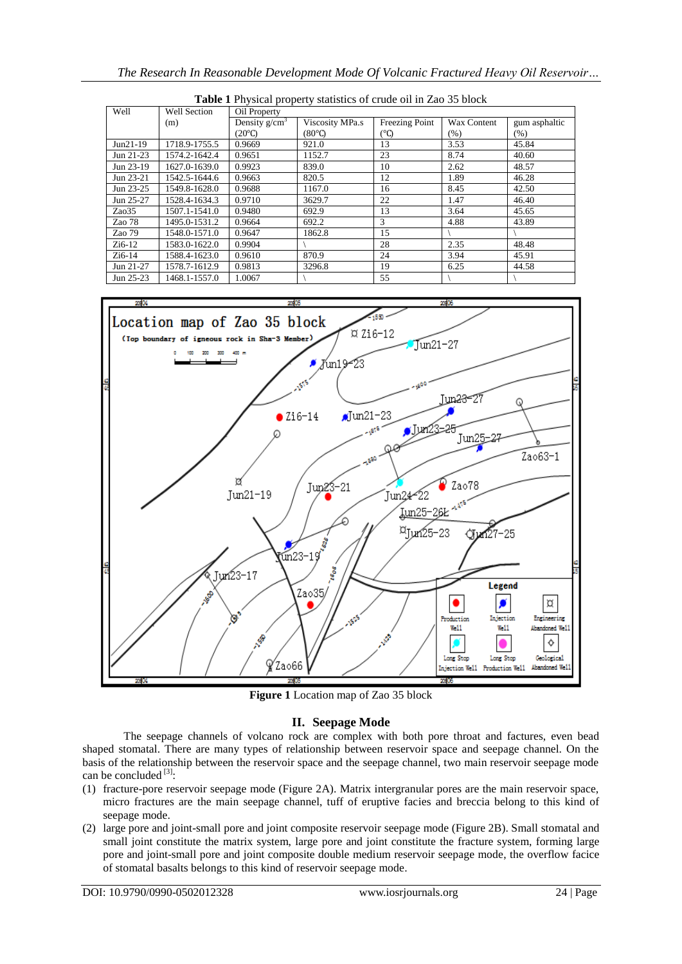| Well       | <b>Well Section</b> | Oil Property    |                 |                |             |               |
|------------|---------------------|-----------------|-----------------|----------------|-------------|---------------|
|            | (m)                 | Density $g/cm3$ | Viscosity MPa.s | Freezing Point | Wax Content | gum asphaltic |
|            |                     | $(20^{\circ}C)$ | (80°)           | (°C)           | $(\%)$      | $(\% )$       |
| $Jun21-19$ | 1718.9-1755.5       | 0.9669          | 921.0           | 13             | 3.53        | 45.84         |
| Jun 21-23  | 1574.2-1642.4       | 0.9651          | 1152.7          | 23             | 8.74        | 40.60         |
| Jun 23-19  | 1627.0-1639.0       | 0.9923          | 839.0           | 10             | 2.62        | 48.57         |
| Jun 23-21  | 1542.5-1644.6       | 0.9663          | 820.5           | 12             | 1.89        | 46.28         |
| Jun 23-25  | 1549.8-1628.0       | 0.9688          | 1167.0          | 16             | 8.45        | 42.50         |
| Jun 25-27  | 1528.4-1634.3       | 0.9710          | 3629.7          | 22             | 1.47        | 46.40         |
| Zao35      | 1507.1-1541.0       | 0.9480          | 692.9           | 13             | 3.64        | 45.65         |
| Zao 78     | 1495.0-1531.2       | 0.9664          | 692.2           | 3              | 4.88        | 43.89         |
| Zao 79     | 1548.0-1571.0       | 0.9647          | 1862.8          | 15             |             |               |
| $Zi6-12$   | 1583.0-1622.0       | 0.9904          |                 | 28             | 2.35        | 48.48         |
| $Zi6-14$   | 1588.4-1623.0       | 0.9610          | 870.9           | 24             | 3.94        | 45.91         |
| Jun 21-27  | 1578.7-1612.9       | 0.9813          | 3296.8          | 19             | 6.25        | 44.58         |
| Jun 25-23  | 1468.1-1557.0       | 1.0067          |                 | 55             |             |               |

**Table 1** Physical property statistics of crude oil in Zao 35 block



**Figure 1** Location map of Zao 35 block

## **II. Seepage Mode**

The seepage channels of volcano rock are complex with both pore throat and factures, even bead shaped stomatal. There are many types of relationship between reservoir space and seepage channel. On the basis of the relationship between the reservoir space and the seepage channel, two main reservoir seepage mode can be concluded  $^{[3]}$ :

- (1) fracture-pore reservoir seepage mode (Figure 2A). Matrix intergranular pores are the main reservoir space, micro fractures are the main seepage channel, tuff of eruptive facies and breccia belong to this kind of seepage mode.
- (2) large pore and joint-small pore and joint composite reservoir seepage mode (Figure 2B). Small stomatal and small joint constitute the matrix system, large pore and joint constitute the fracture system, forming large pore and joint-small pore and joint composite double medium reservoir seepage mode, the overflow facice of stomatal basalts belongs to this kind of reservoir seepage mode.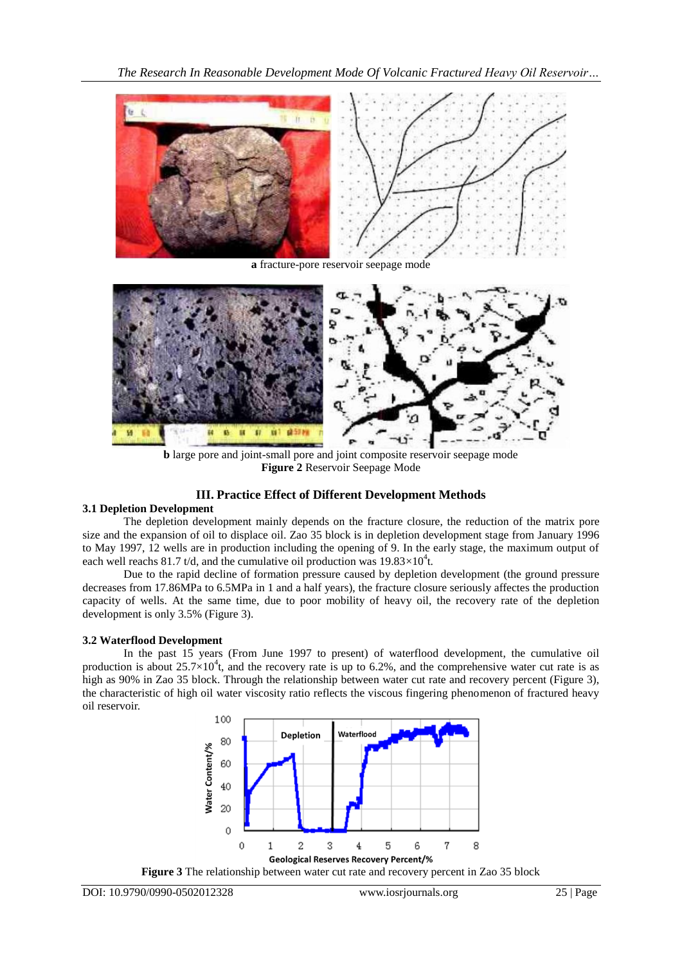*The Research In Reasonable Development Mode Of Volcanic Fractured Heavy Oil Reservoir…*



**a** fracture-pore reservoir seepage mode



**b** large pore and joint-small pore and joint composite reservoir seepage mode **Figure 2** Reservoir Seepage Mode

## **III. Practice Effect of Different Development Methods**

### **3.1 Depletion Development**

The depletion development mainly depends on the fracture closure, the reduction of the matrix pore size and the expansion of oil to displace oil. Zao 35 block is in depletion development stage from January 1996 to May 1997, 12 wells are in production including the opening of 9. In the early stage, the maximum output of each well reachs 81.7 t/d, and the cumulative oil production was  $19.83 \times 10^4$ t.

Due to the rapid decline of formation pressure caused by depletion development (the ground pressure decreases from 17.86MPa to 6.5MPa in 1 and a half years), the fracture closure seriously affectes the production capacity of wells. At the same time, due to poor mobility of heavy oil, the recovery rate of the depletion development is only 3.5% (Figure 3).

## **3.2 Waterflood Development**

In the past 15 years (From June 1997 to present) of waterflood development, the cumulative oil production is about  $25.7 \times 10^4$ t, and the recovery rate is up to 6.2%, and the comprehensive water cut rate is as high as 90% in Zao 35 block. Through the relationship between water cut rate and recovery percent (Figure 3), the characteristic of high oil water viscosity ratio reflects the viscous fingering phenomenon of fractured heavy oil reservoir.

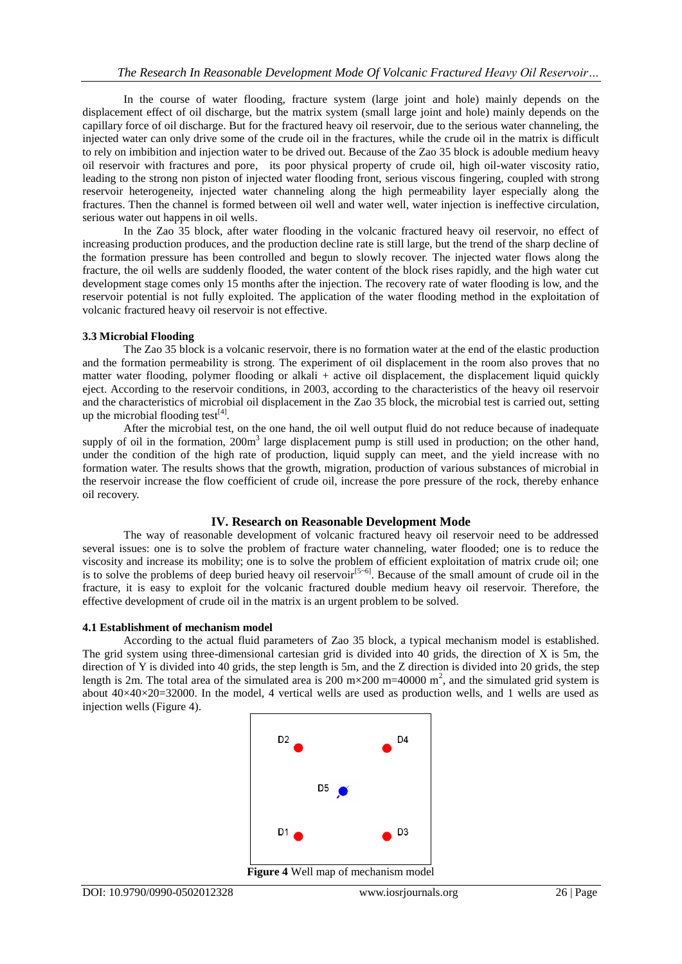In the course of water flooding, fracture system (large joint and hole) mainly depends on the displacement effect of oil discharge, but the matrix system (small large joint and hole) mainly depends on the capillary force of oil discharge. But for the fractured heavy oil reservoir, due to the serious water channeling, the injected water can only drive some of the crude oil in the fractures, while the crude oil in the matrix is difficult to rely on imbibition and injection water to be drived out. Because of the Zao 35 block is adouble medium heavy oil reservoir with fractures and pore, its poor physical property of crude oil, high oil-water viscosity ratio, leading to the strong non piston of injected water flooding front, serious viscous fingering, coupled with strong reservoir heterogeneity, injected water channeling along the high permeability layer especially along the fractures. Then the channel is formed between oil well and water well, water injection is ineffective circulation, serious water out happens in oil wells.

In the Zao 35 block, after water flooding in the volcanic fractured heavy oil reservoir, no effect of increasing production produces, and the production decline rate is still large, but the trend of the sharp decline of the formation pressure has been controlled and begun to slowly recover. The injected water flows along the fracture, the oil wells are suddenly flooded, the water content of the block rises rapidly, and the high water cut development stage comes only 15 months after the injection. The recovery rate of water flooding is low, and the reservoir potential is not fully exploited. The application of the water flooding method in the exploitation of volcanic fractured heavy oil reservoir is not effective.

#### **3.3 Microbial Flooding**

The Zao 35 block is a volcanic reservoir, there is no formation water at the end of the elastic production and the formation permeability is strong. The experiment of oil displacement in the room also proves that no matter water flooding, polymer flooding or alkali + active oil displacement, the displacement liquid quickly eject. According to the reservoir conditions, in 2003, according to the characteristics of the heavy oil reservoir and the characteristics of microbial oil displacement in the Zao 35 block, the microbial test is carried out, setting up the microbial flooding test $^{[4]}$ .

After the microbial test, on the one hand, the oil well output fluid do not reduce because of inadequate supply of oil in the formation, 200m<sup>3</sup> large displacement pump is still used in production; on the other hand, under the condition of the high rate of production, liquid supply can meet, and the yield increase with no formation water. The results shows that the growth, migration, production of various substances of microbial in the reservoir increase the flow coefficient of crude oil, increase the pore pressure of the rock, thereby enhance oil recovery.

### **IV. Research on Reasonable Development Mode**

The way of reasonable development of volcanic fractured heavy oil reservoir need to be addressed several issues: one is to solve the problem of fracture water channeling, water flooded; one is to reduce the viscosity and increase its mobility; one is to solve the problem of efficient exploitation of matrix crude oil; one is to solve the problems of deep buried heavy oil reservoir<sup>[5~6]</sup>. Because of the small amount of crude oil in the fracture, it is easy to exploit for the volcanic fractured double medium heavy oil reservoir. Therefore, the effective development of crude oil in the matrix is an urgent problem to be solved.

#### **4.1 Establishment of mechanism model**

According to the actual fluid parameters of Zao 35 block, a typical mechanism model is established. The grid system using three-dimensional cartesian grid is divided into 40 grids, the direction of X is 5m, the direction of Y is divided into 40 grids, the step length is 5m, and the Z direction is divided into 20 grids, the step length is 2m. The total area of the simulated area is 200 m $\times$ 200 m=40000 m<sup>2</sup>, and the simulated grid system is about  $40\times40\times20=32000$ . In the model, 4 vertical wells are used as production wells, and 1 wells are used as injection wells (Figure 4).

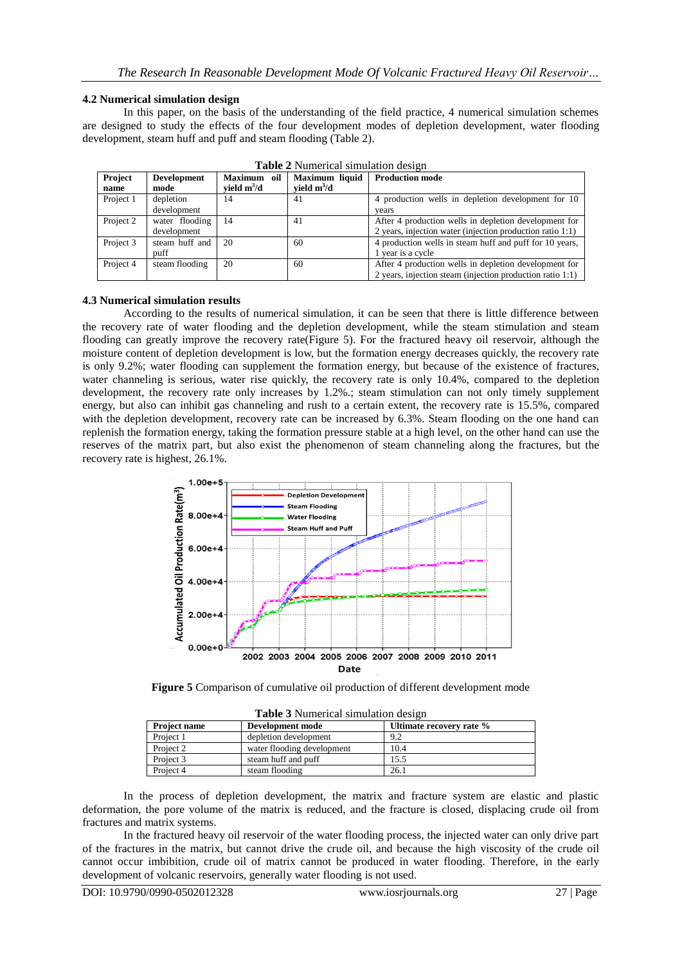#### **4.2 Numerical simulation design**

In this paper, on the basis of the understanding of the field practice, 4 numerical simulation schemes are designed to study the effects of the four development modes of depletion development, water flooding development, steam huff and puff and steam flooding (Table 2).

| Project   | <b>Development</b> | Maximum oil   | Maximum liquid | <b>Production mode</b>                                    |
|-----------|--------------------|---------------|----------------|-----------------------------------------------------------|
| name      | mode               | vield $m^3/d$ | vield $m^3/d$  |                                                           |
| Project 1 | depletion          | 14            | 41             | 4 production wells in depletion development for 10        |
|           | development        |               |                | vears                                                     |
| Project 2 | water flooding     | 14            | 41             | After 4 production wells in depletion development for     |
|           | development        |               |                | 2 years, injection water (injection production ratio 1:1) |
| Project 3 | steam huff and     | 20            | 60             | 4 production wells in steam huff and puff for 10 years,   |
|           | puff               |               |                | 1 year is a cycle                                         |
| Project 4 | steam flooding     | 20            | 60             | After 4 production wells in depletion development for     |
|           |                    |               |                | 2 years, injection steam (injection production ratio 1:1) |

**Table 2** Numerical simulation design

### **4.3 Numerical simulation results**

According to the results of numerical simulation, it can be seen that there is little difference between the recovery rate of water flooding and the depletion development, while the steam stimulation and steam flooding can greatly improve the recovery rate(Figure 5). For the fractured heavy oil reservoir, although the moisture content of depletion development is low, but the formation energy decreases quickly, the recovery rate is only 9.2%; water flooding can supplement the formation energy, but because of the existence of fractures, water channeling is serious, water rise quickly, the recovery rate is only 10.4%, compared to the depletion development, the recovery rate only increases by 1.2%.; steam stimulation can not only timely supplement energy, but also can inhibit gas channeling and rush to a certain extent, the recovery rate is 15.5%, compared with the depletion development, recovery rate can be increased by 6.3%. Steam flooding on the one hand can replenish the formation energy, taking the formation pressure stable at a high level, on the other hand can use the reserves of the matrix part, but also exist the phenomenon of steam channeling along the fractures, but the recovery rate is highest, 26.1%.



**Figure 5** Comparison of cumulative oil production of different development mode

| <b>Table 3</b> Numerical simulation design |                            |                          |  |  |  |
|--------------------------------------------|----------------------------|--------------------------|--|--|--|
| <b>Project name</b>                        | Development mode           | Ultimate recovery rate % |  |  |  |
| Project 1                                  | depletion development      | 9.2                      |  |  |  |
| Project 2                                  | water flooding development | 10.4                     |  |  |  |
| Project 3                                  | steam huff and puff        | 15.5                     |  |  |  |
| Project 4                                  | steam flooding             | 26.1                     |  |  |  |

In the process of depletion development, the matrix and fracture system are elastic and plastic deformation, the pore volume of the matrix is reduced, and the fracture is closed, displacing crude oil from fractures and matrix systems.

In the fractured heavy oil reservoir of the water flooding process, the injected water can only drive part of the fractures in the matrix, but cannot drive the crude oil, and because the high viscosity of the crude oil cannot occur imbibition, crude oil of matrix cannot be produced in water flooding. Therefore, in the early development of volcanic reservoirs, generally water flooding is not used.